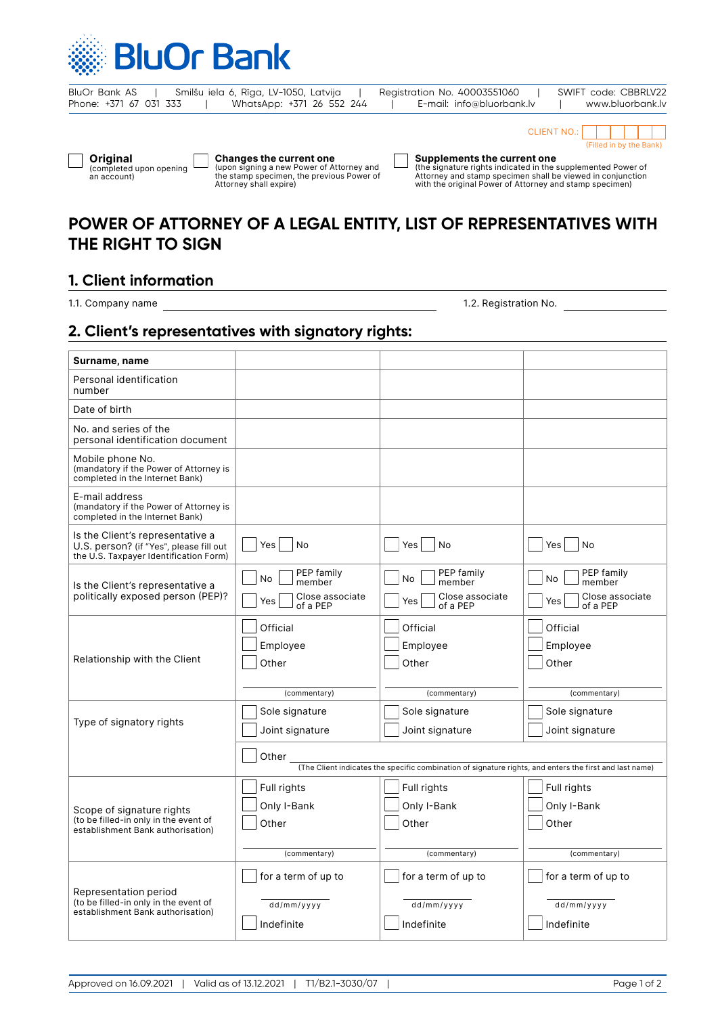

| BluOr Bank AS          |  |  | Smilšu iela 6, Rīga, LV-1050, Latvija |  |  | Registration No. 40003551060 |  | SWIFT code: CBBRLV22 |
|------------------------|--|--|---------------------------------------|--|--|------------------------------|--|----------------------|
| Phone: +371 67 031 333 |  |  | WhatsApp: +371 26 552 244             |  |  | E-mail: info@bluorbank.lv    |  | www.bluorbank.lv     |

| tion No. 40003551060      | SWIFT cod |
|---------------------------|-----------|
| E-mail: info@bluorbank.lv | www       |



**Original** (completed upon opening an account)

**Changes the current one**  (upon signing a new Power of Attorney and the stamp specimen, the previous Power of Attorney shall expire)

**Supplements the current one** (the signature rights indicated in the supplemented Power of Attorney and stamp specimen shall be viewed in conjunction with the original Power of Attorney and stamp specimen)

# **POWER OF ATTORNEY OF A LEGAL ENTITY, LIST OF REPRESENTATIVES WITH THE RIGHT TO SIGN**

# **1. Client information**

1.1. Company name

1.2. Registration No.

## **2. Client's representatives with signatory rights:**

| Surname, name                                                                                                         |                                                                                                                  |                                                                         |                                                                   |  |  |  |
|-----------------------------------------------------------------------------------------------------------------------|------------------------------------------------------------------------------------------------------------------|-------------------------------------------------------------------------|-------------------------------------------------------------------|--|--|--|
| Personal identification<br>number                                                                                     |                                                                                                                  |                                                                         |                                                                   |  |  |  |
| Date of birth                                                                                                         |                                                                                                                  |                                                                         |                                                                   |  |  |  |
| No. and series of the<br>personal identification document                                                             |                                                                                                                  |                                                                         |                                                                   |  |  |  |
| Mobile phone No.<br>(mandatory if the Power of Attorney is<br>completed in the Internet Bank)                         |                                                                                                                  |                                                                         |                                                                   |  |  |  |
| E-mail address<br>(mandatory if the Power of Attorney is<br>completed in the Internet Bank)                           |                                                                                                                  |                                                                         |                                                                   |  |  |  |
| Is the Client's representative a<br>U.S. person? (if "Yes", please fill out<br>the U.S. Taxpayer Identification Form) | Yes<br>No                                                                                                        | No<br>Yes                                                               | Yes<br>No                                                         |  |  |  |
| Is the Client's representative a<br>politically exposed person (PEP)?                                                 | PEP family<br>No<br>member<br>Close associate<br>Yes<br>of a PEP                                                 | PEP family<br><b>No</b><br>member<br>Close associate<br>Yes<br>of a PEP | PEP family<br>No.<br>member<br>Close associate<br>Yes<br>of a PEP |  |  |  |
| Relationship with the Client                                                                                          | Official<br>Employee<br>Other<br>(commentary)                                                                    | Official<br>Employee<br>Other<br>(commentary)                           | Official<br>Employee<br>Other<br>(commentary)                     |  |  |  |
| Type of signatory rights                                                                                              | Sole signature<br>Joint signature                                                                                | Sole signature<br>Joint signature                                       | Sole signature<br>Joint signature                                 |  |  |  |
|                                                                                                                       | Other<br>(The Client indicates the specific combination of signature rights, and enters the first and last name) |                                                                         |                                                                   |  |  |  |
| Scope of signature rights<br>(to be filled-in only in the event of<br>establishment Bank authorisation)               | Full rights<br>Only I-Bank<br>Other                                                                              | Full rights<br>Only I-Bank<br>Other                                     | Full rights<br>Only I-Bank<br>Other                               |  |  |  |
|                                                                                                                       | (commentary)                                                                                                     | (commentary)                                                            | (commentary)                                                      |  |  |  |
| Representation period<br>(to be filled-in only in the event of<br>establishment Bank authorisation)                   | for a term of up to<br>dd/mm/yyyy                                                                                | for a term of up to<br>dd/mm/yyyy                                       | for a term of up to<br>dd/mm/yyyy                                 |  |  |  |
|                                                                                                                       | Indefinite                                                                                                       | Indefinite                                                              | Indefinite                                                        |  |  |  |